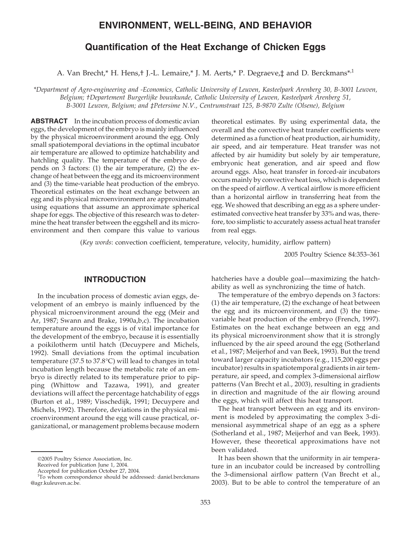# **ENVIRONMENT, WELL-BEING, AND BEHAVIOR**

# **Quantification of the Heat Exchange of Chicken Eggs**

A. Van Brecht,\* H. Hens,† J.-L. Lemaire,\* J. M. Aerts,\* P. Degraeve,‡ and D. Berckmans\*,<sup>1</sup>

*\*Department of Agro-engineering and -Economics, Catholic University of Leuven, Kasteelpark Arenberg 30, B-3001 Leuven, Belgium; †Departement Burgerlijke bouwkunde, Catholic University of Leuven, Kasteelpark Arenberg 51, B-3001 Leuven, Belgium; and ‡Petersime N.V., Centrumstraat 125, B-9870 Zulte (Olsene), Belgium*

**ABSTRACT** In the incubation process of domestic avian eggs, the development of the embryo is mainly influenced by the physical microenvironment around the egg. Only small spatiotemporal deviations in the optimal incubator air temperature are allowed to optimize hatchability and hatchling quality. The temperature of the embryo depends on 3 factors: (1) the air temperature, (2) the exchange of heat between the egg and its microenvironment and (3) the time-variable heat production of the embryo. Theoretical estimates on the heat exchange between an egg and its physical microenvironment are approximated using equations that assume an approximate spherical shape for eggs. The objective of this research was to determine the heat transfer between the eggshell and its microenvironment and then compare this value to various

theoretical estimates. By using experimental data, the overall and the convective heat transfer coefficients were determined as a function of heat production, air humidity, air speed, and air temperature. Heat transfer was not affected by air humidity but solely by air temperature, embryonic heat generation, and air speed and flow around eggs. Also, heat transfer in forced-air incubators occurs mainly by convective heat loss, which is dependent on the speed of airflow. A vertical airflow is more efficient than a horizontal airflow in transferring heat from the egg. We showed that describing an egg as a sphere underestimated convective heat transfer by 33% and was, therefore, too simplistic to accurately assess actual heat transfer from real eggs.

(*Key words*: convection coefficient, temperature, velocity, humidity, airflow pattern)

2005 Poultry Science 84:353–361

### **INTRODUCTION**

In the incubation process of domestic avian eggs, development of an embryo is mainly influenced by the physical microenvironment around the egg (Meir and Ar, 1987; Swann and Brake, 1990a,b,c). The incubation temperature around the eggs is of vital importance for the development of the embryo, because it is essentially a poikilotherm until hatch (Decuypere and Michels, 1992). Small deviations from the optimal incubation temperature (37.5 to 37.8°C) will lead to changes in total incubation length because the metabolic rate of an embryo is directly related to its temperature prior to pipping (Whittow and Tazawa, 1991), and greater deviations will affect the percentage hatchability of eggs (Burton et al., 1989; Visschedijk, 1991; Decuypere and Michels, 1992). Therefore, deviations in the physical microenvironment around the egg will cause practical, organizational, or management problems because modern hatcheries have a double goal—maximizing the hatchability as well as synchronizing the time of hatch.

The temperature of the embryo depends on 3 factors: (1) the air temperature, (2) the exchange of heat between the egg and its microenvironment, and (3) the timevariable heat production of the embryo (French, 1997). Estimates on the heat exchange between an egg and its physical microenvironment show that it is strongly influenced by the air speed around the egg (Sotherland et al., 1987; Meijerhof and van Beek, 1993). But the trend toward larger capacity incubators (e.g., 115,200 eggs per incubator) results in spatiotemporal gradients in air temperature, air speed, and complex 3-dimensional airflow patterns (Van Brecht et al., 2003), resulting in gradients in direction and magnitude of the air flowing around the eggs, which will affect this heat transport.

The heat transport between an egg and its environment is modeled by approximating the complex 3-dimensional asymmetrical shape of an egg as a sphere (Sotherland et al., 1987; Meijerhof and van Beek, 1993). However, these theoretical approximations have not been validated.

It has been shown that the uniformity in air temperature in an incubator could be increased by controlling the 3-dimensional airflow pattern (Van Brecht et al., 2003). But to be able to control the temperature of an

<sup>2005</sup> Poultry Science Association, Inc.

Received for publication June 1, 2004.

Accepted for publication October 27, 2004.

<sup>&</sup>lt;sup>1</sup>To whom correspondence should be addressed: daniel.berckmans @agr.kuleuven.ac.be.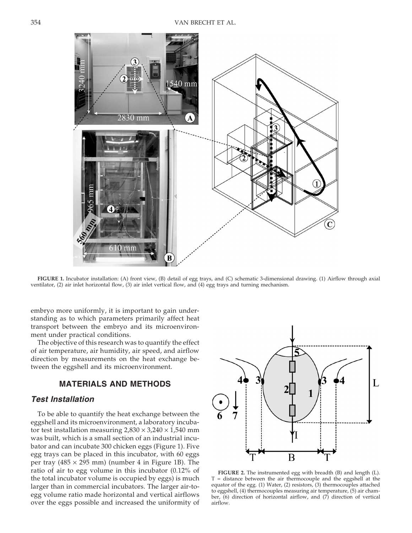

**FIGURE 1.** Incubator installation: (A) front view, (B) detail of egg trays, and (C) schematic 3-dimensional drawing. (1) Airflow through axial ventilator, (2) air inlet horizontal flow, (3) air inlet vertical flow, and (4) egg trays and turning mechanism.

embryo more uniformly, it is important to gain understanding as to which parameters primarily affect heat transport between the embryo and its microenvironment under practical conditions.

The objective of this research was to quantify the effect of air temperature, air humidity, air speed, and airflow direction by measurements on the heat exchange between the eggshell and its microenvironment.

### **MATERIALS AND METHODS**

## *Test Installation*

To be able to quantify the heat exchange between the eggshell and its microenvironment, a laboratory incubator test installation measuring  $2,830 \times 3,240 \times 1,540$  mm was built, which is a small section of an industrial incubator and can incubate 300 chicken eggs (Figure 1). Five egg trays can be placed in this incubator, with 60 eggs per tray ( $485 \times 295$  mm) (number 4 in Figure 1B). The ratio of air to egg volume in this incubator (0.12% of the total incubator volume is occupied by eggs) is much larger than in commercial incubators. The larger air-toegg volume ratio made horizontal and vertical airflows over the eggs possible and increased the uniformity of



**FIGURE 2.** The instrumented egg with breadth (B) and length (L). T = distance between the air thermocouple and the eggshell at the equator of the egg. (1) Water, (2) resistors, (3) thermocouples attached to eggshell, (4) thermocouples measuring air temperature, (5) air chamber,  $(6)$  direction of horizontal airflow, and  $(7)$  direction of vertical airflow.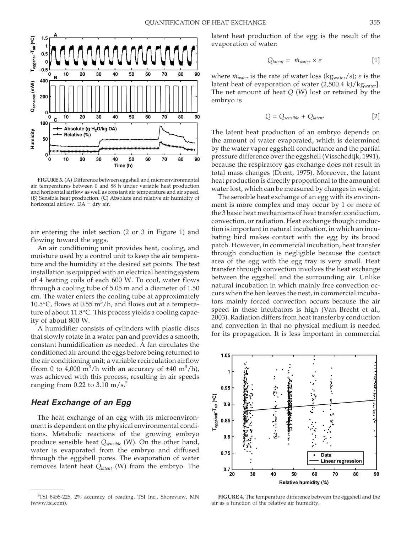

**FIGURE 3.** (A) Difference between eggshell and microenvironmental air temperatures between 0 and 88 h under variable heat production and horizontal airflow as well as constant air temperature and air speed. (B) Sensible heat production. (C) Absolute and relative air humidity of horizontal airflow. DA = dry air.

air entering the inlet section (2 or 3 in Figure 1) and flowing toward the eggs.

An air conditioning unit provides heat, cooling, and moisture used by a control unit to keep the air temperature and the humidity at the desired set points. The test installation is equipped with an electrical heating system of 4 heating coils of each 600 W. To cool, water flows through a cooling tube of 5.05 m and a diameter of 1.50 cm. The water enters the cooling tube at approximately 10.5°C, flows at 0.55  $\mathrm{m}^3/\mathrm{h}$ , and flows out at a temperature of about 11.8°C. This process yields a cooling capacity of about 800 W.

A humidifier consists of cylinders with plastic discs that slowly rotate in a water pan and provides a smooth, constant humidification as needed. A fan circulates the conditioned air around the eggs before being returned to the air conditioning unit; a variable recirculation airflow (from 0 to 4,000 m<sup>3</sup>/h with an accuracy of  $\pm 40$  m<sup>3</sup>/h), was achieved with this process, resulting in air speeds ranging from 0.22 to 3.10 m/s.<sup>2</sup>

### *Heat Exchange of an Egg*

The heat exchange of an egg with its microenvironment is dependent on the physical environmental conditions. Metabolic reactions of the growing embryo produce sensible heat *Qsensible* (W). On the other hand, water is evaporated from the embryo and diffused through the eggshell pores. The evaporation of water removes latent heat *Qlatent* (W) from the embryo. The latent heat production of the egg is the result of the evaporation of water:

$$
Q_{latent} = \dot{m}_{water} \times \varepsilon \tag{1}
$$

where  $\dot{m}_{water}$  is the rate of water loss (kg<sub>water</sub>/s);  $\varepsilon$  is the latent heat of evaporation of water (2,500.4 kJ/kgwater]. The net amount of heat *Q* (W) lost or retained by the embryo is

$$
Q = Q_{sensible} + Q_{latent}
$$
 [2]

The latent heat production of an embryo depends on the amount of water evaporated, which is determined by the water vapor eggshell conductance and the partial pressure difference over the eggshell (Visschedijk, 1991), because the respiratory gas exchange does not result in total mass changes (Drent, 1975). Moreover, the latent heat production is directly proportional to the amount of water lost, which can be measured by changes in weight.

The sensible heat exchange of an egg with its environment is more complex and may occur by 1 or more of the 3 basic heat mechanisms of heat transfer: conduction, convection, or radiation. Heat exchange though conduction is important in natural incubation, in which an incubating bird makes contact with the egg by its brood patch. However, in commercial incubation, heat transfer through conduction is negligible because the contact area of the egg with the egg tray is very small. Heat transfer through convection involves the heat exchange between the eggshell and the surrounding air. Unlike natural incubation in which mainly free convection occurs when the hen leaves the nest, in commercial incubators mainly forced convection occurs because the air speed in these incubators is high (Van Brecht et al., 2003). Radiation differs from heat transfer by conduction and convection in that no physical medium is needed for its propagation. It is less important in commercial



**FIGURE 4.** The temperature difference between the eggshell and the air as a function of the relative air humidity.

<sup>2</sup> TSI 8455-225, 2% accuracy of reading, TSI Inc., Shoreview, MN (www.tsi.com).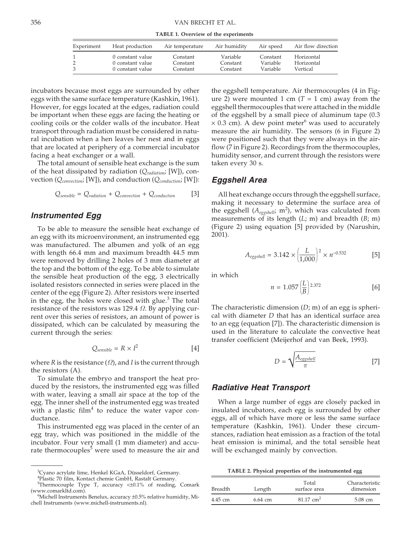**TABLE 1. Overview of the experiments**

| Experiment         | Heat production                                          | Air temperature                  | Air humidity                     | Air speed                        | Air flow direction                   |
|--------------------|----------------------------------------------------------|----------------------------------|----------------------------------|----------------------------------|--------------------------------------|
| 2<br>$\mathcal{E}$ | 0 constant value<br>0 constant value<br>0 constant value | Constant<br>Constant<br>Constant | Variable<br>Constant<br>Constant | Constant<br>Variable<br>Variable | Horizontal<br>Horizontal<br>Vertical |

incubators because most eggs are surrounded by other eggs with the same surface temperature (Kashkin, 1961). However, for eggs located at the edges, radiation could be important when these eggs are facing the heating or cooling coils or the colder walls of the incubator. Heat transport through radiation must be considered in natural incubation when a hen leaves her nest and in eggs that are located at periphery of a commercial incubator facing a heat exchanger or a wall.

The total amount of sensible heat exchange is the sum of the heat dissipated by radiation (*Qradiation*; [W]), convection (*Qconvection*; [W]), and conduction (*Qconduction*; [W]):

$$
Q_{sensible} = Q_{radiation} + Q_{convection} + Q_{conduction}
$$
 [3]

### *Instrumented Egg*

To be able to measure the sensible heat exchange of an egg with its microenvironment, an instrumented egg was manufactured. The albumen and yolk of an egg with length 66.4 mm and maximum breadth 44.5 mm were removed by drilling 2 holes of 3 mm diameter at the top and the bottom of the egg. To be able to simulate the sensible heat production of the egg, 3 electrically isolated resistors connected in series were placed in the center of the egg (Figure 2). After resistors were inserted in the egg, the holes were closed with glue. $3$  The total resistance of the resistors was 129.4 *Ω*. By applying current over this series of resistors, an amount of power is dissipated, which can be calculated by measuring the current through the series:

$$
Q_{sensible} = R \times I^2
$$
 [4]

where *R* is the resistance (*Ω*), and *I* is the current through the resistors (A).

To simulate the embryo and transport the heat produced by the resistors, the instrumented egg was filled with water, leaving a small air space at the top of the egg. The inner shell of the instrumented egg was treated with a plastic film $4$  to reduce the water vapor conductance.

This instrumented egg was placed in the center of an egg tray, which was positioned in the middle of the incubator. Four very small (1 mm diameter) and accurate thermocouples<sup>5</sup> were used to measure the air and the eggshell temperature. Air thermocouples (4 in Figure 2) were mounted 1 cm  $(T = 1$  cm) away from the eggshell thermocouples that were attached in the middle of the eggshell by a small piece of aluminum tape (0.3  $\times$  0.3 cm). A dew point meter<sup>6</sup> was used to accurately measure the air humidity. The sensors (6 in Figure 2) were positioned such that they were always in the airflow (7 in Figure 2). Recordings from the thermocouples, humidity sensor, and current through the resistors were taken every 30 s.

#### *Eggshell Area*

All heat exchange occurs through the eggshell surface, making it necessary to determine the surface area of the eggshell (A<sub>eggshell</sub>; m<sup>2</sup>), which was calculated from measurements of its length (*L*; m) and breadth (*B*; m) (Figure 2) using equation [5] provided by (Narushin, 2001).

$$
A_{eggshell} = 3.142 \times \left(\frac{L}{1,000}\right)^2 \times n^{-0.532}
$$
 [5]

in which

$$
n = 1.057 \left(\frac{L}{B}\right)^{2.372} \tag{6}
$$

The characteristic dimension (*D*; m) of an egg is spherical with diameter *D* that has an identical surface area to an egg (equation [7]). The characteristic dimension is used in the literature to calculate the convective heat transfer coefficient (Meijerhof and van Beek, 1993).

$$
D = \sqrt{\frac{A_{eggshell}}{\pi}}
$$
 [7]

#### *Radiative Heat Transport*

When a large number of eggs are closely packed in insulated incubators, each egg is surrounded by other eggs, all of which have more or less the same surface temperature (Kashkin, 1961). Under these circumstances, radiation heat emission as a fraction of the total heat emission is minimal, and the total sensible heat will be exchanged mainly by convection.

**TABLE 2. Physical properties of the instrumented egg**

| <b>Breadth</b> | Length    | Total<br>surface area | Characteristic<br>dimension |  |
|----------------|-----------|-----------------------|-----------------------------|--|
| 4.45 cm        | $6.64$ cm | $81.17 \text{ cm}^2$  | 5.08 cm                     |  |

<sup>&</sup>lt;sup>3</sup>Cyano acrylate lime, Henkel KGaA, Düsseldorf, Germany.<br><sup>4</sup>Plastic 70 film, Kontact chemie CmbH, Rastalt Cermany.

Plastic 70 film, Kontact chemie GmbH, Rastalt Germany.

<sup>5</sup> Thermocouple Type T, accuracy <±0.1% of reading, Comark (www.comarkltd.com). <sup>6</sup>

 $6$ Michell Instruments Benelux, accuracy  $\pm 0.5$ % relative humidity, Michell Instruments (www.michell-instruments.nl).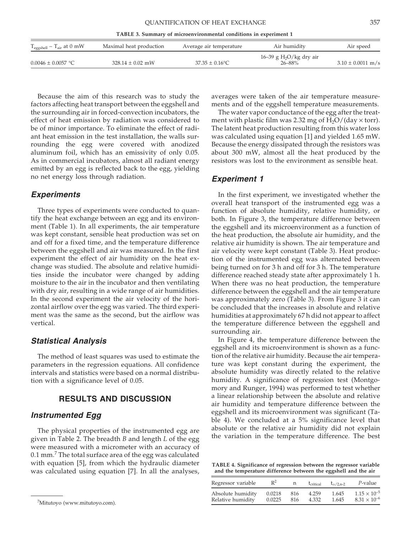| <b>OUANTIFICATION OF HEAT EXCHANGE</b> |  |  |
|----------------------------------------|--|--|
|----------------------------------------|--|--|

**TABLE 3. Summary of microenvironmental conditions in experiment 1**

| $T_{\text{eggshell}} - T_{\text{air}}$ at 0 mW | Maximal heat production | Average air temperature | Air humidity              | Air speed             |
|------------------------------------------------|-------------------------|-------------------------|---------------------------|-----------------------|
|                                                |                         |                         | 16–39 g $H_2O/kg$ dry air |                       |
| $0.0046 \pm 0.0057$ °C                         | $328.14 \pm 0.02$ mW    | $37.35 \pm 0.16$ °C     | 26–88%                    | $3.10 \pm 0.0011$ m/s |

Because the aim of this research was to study the factors affecting heat transport between the eggshell and the surrounding air in forced-convection incubators, the effect of heat emission by radiation was considered to be of minor importance. To eliminate the effect of radiant heat emission in the test installation, the walls surrounding the egg were covered with anodized aluminum foil, which has an emissivity of only 0.05. As in commercial incubators, almost all radiant energy emitted by an egg is reflected back to the egg, yielding no net energy loss through radiation.

### *Experiments*

Three types of experiments were conducted to quantify the heat exchange between an egg and its environment (Table 1). In all experiments, the air temperature was kept constant, sensible heat production was set on and off for a fixed time, and the temperature difference between the eggshell and air was measured. In the first experiment the effect of air humidity on the heat exchange was studied. The absolute and relative humidities inside the incubator were changed by adding moisture to the air in the incubator and then ventilating with dry air, resulting in a wide range of air humidities. In the second experiment the air velocity of the horizontal airflow over the egg was varied. The third experiment was the same as the second, but the airflow was vertical.

### *Statistical Analysis*

The method of least squares was used to estimate the parameters in the regression equations. All confidence intervals and statistics were based on a normal distribution with a significance level of 0.05.

### **RESULTS AND DISCUSSION**

### *Instrumented Egg*

The physical properties of the instrumented egg are given in Table 2. The breadth *B* and length *L* of the egg were measured with a micrometer with an accuracy of  $0.1$  mm.<sup>7</sup> The total surface area of the egg was calculated with equation [5], from which the hydraulic diameter was calculated using equation [7]. In all the analyses, averages were taken of the air temperature measurements and of the eggshell temperature measurements.

The water vapor conductance of the egg after the treatment with plastic film was 2.32 mg of  $H_2O/(day \times torr)$ . The latent heat production resulting from this water loss was calculated using equation [1] and yielded 1.65 mW. Because the energy dissipated through the resistors was about 300 mW, almost all the heat produced by the resistors was lost to the environment as sensible heat.

#### *Experiment 1*

In the first experiment, we investigated whether the overall heat transport of the instrumented egg was a function of absolute humidity, relative humidity, or both. In Figure 3, the temperature difference between the eggshell and its microenvironment as a function of the heat production, the absolute air humidity, and the relative air humidity is shown. The air temperature and air velocity were kept constant (Table 3). Heat production of the instrumented egg was alternated between being turned on for 3 h and off for 3 h. The temperature difference reached steady state after approximately 1 h. When there was no heat production, the temperature difference between the eggshell and the air temperature was approximately zero (Table 3). From Figure 3 it can be concluded that the increases in absolute and relative humidities at approximately 67 h did not appear to affect the temperature difference between the eggshell and surrounding air.

In Figure 4, the temperature difference between the eggshell and its microenvironment is shown as a function of the relative air humidity. Because the air temperature was kept constant during the experiment, the absolute humidity was directly related to the relative humidity. A significance of regression test (Montgomory and Runger, 1994) was performed to test whether a linear relationship between the absolute and relative air humidity and temperature difference between the eggshell and its microenvironment was significant (Table 4). We concluded at a 5% significance level that absolute or the relative air humidity did not explain the variation in the temperature difference. The best

**TABLE 4. Significance of regression between the regressor variable and the temperature difference between the eggshell and the air**

| Regressor variable | $R^2$  | n   | t <sub>critical</sub> | $t_{\alpha/2,n-2}$ | $P$ -value            |
|--------------------|--------|-----|-----------------------|--------------------|-----------------------|
| Absolute humidity  | 0.0218 | 816 | 4.259                 | 1.645              | $1.15 \times 10^{-5}$ |
| Relative humidity  | 0.0225 | 816 | 4.332                 | 1.645              | $8.31 \times 10^{-6}$ |

<sup>&</sup>lt;sup>7</sup>Mitutoyo (www.mitutoyo.com).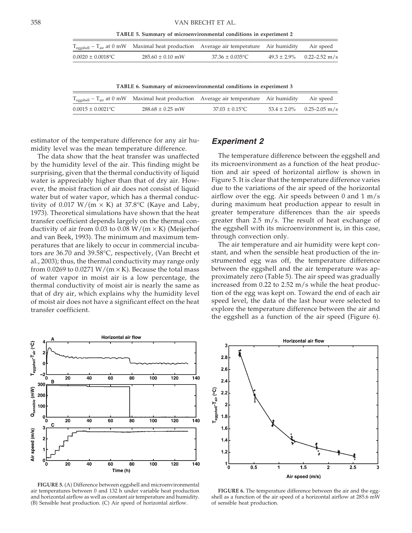**TABLE 5. Summary of microenvironmental conditions in experiment 2**

|                        | $T_{eggshell} - T_{air}$ at 0 mW Maximal heat production Average air temperature Air humidity Air speed |                      |                                |
|------------------------|---------------------------------------------------------------------------------------------------------|----------------------|--------------------------------|
| $0.0020 \pm 0.0018$ °C | $285.60 \pm 0.10$ mW                                                                                    | $37.36 \pm 0.035$ °C | $49.3 \pm 2.9\%$ 0.22–2.52 m/s |

**TABLE 6. Summary of microenvironmental conditions in experiment 3**

|                        | $T_{\text{eggshell}} - T_{\text{air}}$ at 0 mW Maximal heat production Average air temperature Air humidity Air speed |                            |                                |
|------------------------|-----------------------------------------------------------------------------------------------------------------------|----------------------------|--------------------------------|
| $0.0015 \pm 0.0021$ °C | $288.68 \pm 0.25$ mW                                                                                                  | $37.03 \pm 0.15^{\circ}$ C | $53.4 \pm 2.0\%$ 0.25–2.05 m/s |

estimator of the temperature difference for any air humidity level was the mean temperature difference.

The data show that the heat transfer was unaffected by the humidity level of the air. This finding might be surprising, given that the thermal conductivity of liquid water is appreciably higher than that of dry air. However, the moist fraction of air does not consist of liquid water but of water vapor, which has a thermal conductivity of 0.017  $W/(m \times K)$  at 37.8°C (Kaye and Laby, 1973). Theoretical simulations have shown that the heat transfer coefficient depends largely on the thermal conductivity of air from 0.03 to 0.08  $W/(m \times K)$  (Meijerhof and van Beek, 1993). The minimum and maximum temperatures that are likely to occur in commercial incubators are 36.70 and 39.58°C, respectively, (Van Brecht et al., 2003); thus, the thermal conductivity may range only from 0.0269 to 0.0271 W/(m  $\times$  K). Because the total mass of water vapor in moist air is a low percentage, the thermal conductivity of moist air is nearly the same as that of dry air, which explains why the humidity level of moist air does not have a significant effect on the heat transfer coefficient.



**FIGURE 5.** (A) Difference between eggshell and microenvironmental air temperatures between 0 and 132 h under variable heat production and horizontal airflow as well as constant air temperature and humidity. (B) Sensible heat production. (C) Air speed of horizontal airflow.

### *Experiment 2*

The temperature difference between the eggshell and its microenvironment as a function of the heat production and air speed of horizontal airflow is shown in Figure 5. It is clear that the temperature difference varies due to the variations of the air speed of the horizontal airflow over the egg. Air speeds between 0 and 1 m/s during maximum heat production appear to result in greater temperature differences than the air speeds greater than 2.5 m/s. The result of heat exchange of the eggshell with its microenvironment is, in this case, through convection only.

The air temperature and air humidity were kept constant, and when the sensible heat production of the instrumented egg was off, the temperature difference between the eggshell and the air temperature was approximately zero (Table 5). The air speed was gradually increased from 0.22 to 2.52 m/s while the heat production of the egg was kept on. Toward the end of each air speed level, the data of the last hour were selected to explore the temperature difference between the air and the eggshell as a function of the air speed (Figure 6).



**FIGURE 6.** The temperature difference between the air and the eggshell as a function of the air speed of a horizontal airflow at 285.6 mW of sensible heat production.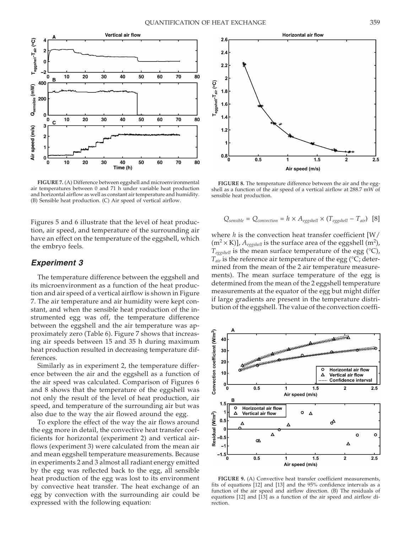

**FIGURE 7.** (A) Difference between eggshell and microenvironmental air temperatures between 0 and 71 h under variable heat production and horizontal airflow as well as constant air temperature and humidity. (B) Sensible heat production. (C) Air speed of vertical airflow.

Figures 5 and 6 illustrate that the level of heat production, air speed, and temperature of the surrounding air have an effect on the temperature of the eggshell, which the embryo feels.

### *Experiment 3*

The temperature difference between the eggshell and its microenvironment as a function of the heat production and air speed of a vertical airflow is shown in Figure 7. The air temperature and air humidity were kept constant, and when the sensible heat production of the instrumented egg was off, the temperature difference between the eggshell and the air temperature was approximately zero (Table 6). Figure 7 shows that increasing air speeds between 15 and 35 h during maximum heat production resulted in decreasing temperature differences.

Similarly as in experiment 2, the temperature difference between the air and the eggshell as a function of the air speed was calculated. Comparison of Figures 6 and 8 shows that the temperature of the eggshell was not only the result of the level of heat production, air speed, and temperature of the surrounding air but was also due to the way the air flowed around the egg.

To explore the effect of the way the air flows around the egg more in detail, the convective heat transfer coefficients for horizontal (experiment 2) and vertical airflows (experiment 3) were calculated from the mean air and mean eggshell temperature measurements. Because in experiments 2 and 3 almost all radiant energy emitted by the egg was reflected back to the egg, all sensible heat production of the egg was lost to its environment by convective heat transfer. The heat exchange of an egg by convection with the surrounding air could be expressed with the following equation:



**FIGURE 8.** The temperature difference between the air and the eggshell as a function of the air speed of a vertical airflow at 288.7 mW of sensible heat production.

$$
Q_{sensible} = Q_{convection} = h \times A_{eggshell} \times (T_{eggshell} - T_{air})
$$
 [8]

where *h* is the convection heat transfer coefficient [W/ (m<sup>2</sup>  $\times$  K)],  $A_{\textit{eggshell}}$  is the surface area of the eggshell (m<sup>2</sup>), *Teggshell* is the mean surface temperature of the egg (°C),  $T_{air}$  is the reference air temperature of the egg ( $\degree$ C; determined from the mean of the 2 air temperature measurements). The mean surface temperature of the egg is determined from the mean of the 2 eggshell temperature measurements at the equator of the egg but might differ if large gradients are present in the temperature distribution of the eggshell. The value of the convection coeffi-



**FIGURE 9.** (A) Convective heat transfer coefficient measurements, fits of equations [12] and [13] and the 95% confidence intervals as a function of the air speed and airflow direction. (B) The residuals of equations [12] and [13] as a function of the air speed and airflow direction.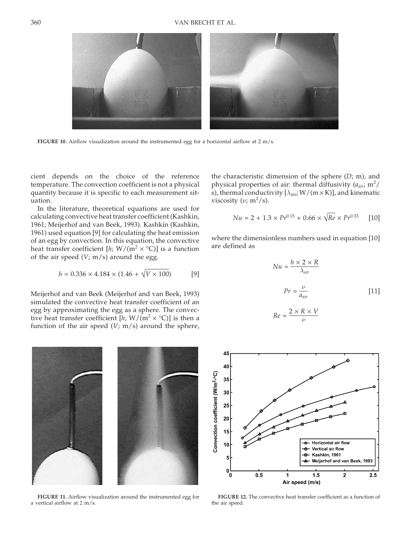

**FIGURE 10.** Airflow visualization around the instrumented egg for a horizontal airflow at 2 m/s.

cient depends on the choice of the reference temperature. The convection coefficient is not a physical quantity because it is specific to each measurement situation.

In the literature, theoretical equations are used for calculating convective heat transfer coefficient (Kashkin, 1961; Meijerhof and van Beek, 1993). Kashkin (Kashkin, 1961) used equation [9] for calculating the heat emission of an egg by convection. In this equation, the convective heat transfer coefficient  $[h; W/(m^2 \times {}^{\circ}C)]$  is a function of the air speed  $(V; m/s)$  around the egg.

$$
h = 0.336 \times 4.184 \times (1.46 + \sqrt{V \times 100})
$$
 [9]

Meijerhof and van Beek (Meijerhof and van Beek, 1993) simulated the convective heat transfer coefficient of an egg by approximating the egg as a sphere. The convective heat transfer coefficient  $[h; W/(m^2 \times {}^{\circ}C)]$  is then a function of the air speed (*V*; m/s) around the sphere,



$$
Nu = 2 + 1.3 \times Pr^{0.15} + 0.66 \times \sqrt{Re} \times Pr^{0.33}
$$
 [10]

where the dimensionless numbers used in equation [10] are defined as

$$
Nu = \frac{h \times 2 \times R}{\lambda_{air}}
$$
  

$$
Pr = \frac{\nu}{a_{air}}
$$
 [11]

$$
Re=\frac{2\times R\times V}{\nu}
$$



**FIGURE 11.** Airflow visualization around the instrumented egg for a vertical airflow at 2 m/s.



**FIGURE 12.** The convective heat transfer coefficient as a function of the air speed.